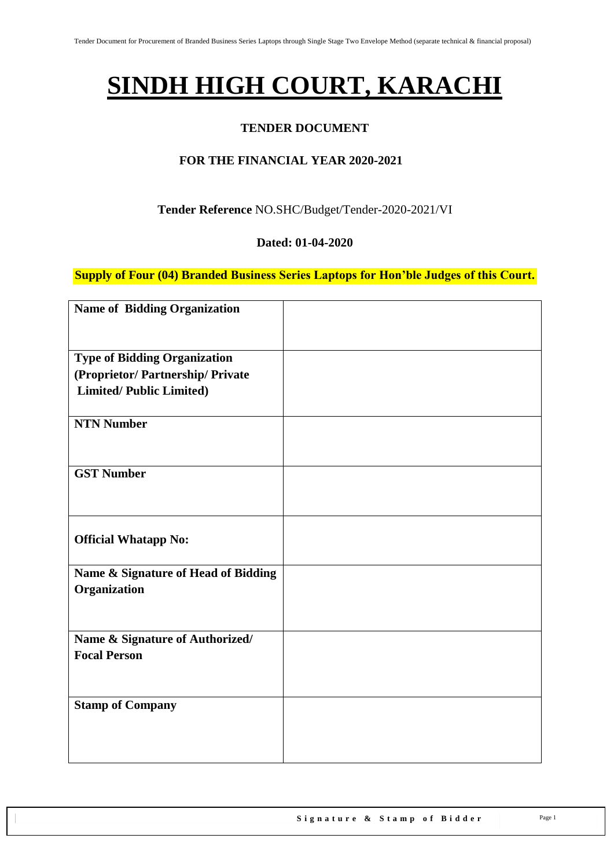# **SINDH HIGH COURT, KARACHI**

#### **TENDER DOCUMENT**

#### **FOR THE FINANCIAL YEAR 2020-2021**

#### **Tender Reference** NO.SHC/Budget/Tender-2020-2021/VI

#### **Dated: 01-04-2020**

**Supply of Four (04) Branded Business Series Laptops for Hon'ble Judges of this Court.**

| <b>Name of Bidding Organization</b>                    |  |
|--------------------------------------------------------|--|
|                                                        |  |
| <b>Type of Bidding Organization</b>                    |  |
| (Proprietor/ Partnership/ Private                      |  |
| <b>Limited/Public Limited)</b>                         |  |
|                                                        |  |
| <b>NTN Number</b>                                      |  |
|                                                        |  |
| <b>GST Number</b>                                      |  |
|                                                        |  |
|                                                        |  |
|                                                        |  |
| <b>Official Whatapp No:</b>                            |  |
| Name & Signature of Head of Bidding                    |  |
| Organization                                           |  |
|                                                        |  |
|                                                        |  |
| Name & Signature of Authorized/<br><b>Focal Person</b> |  |
|                                                        |  |
|                                                        |  |
| <b>Stamp of Company</b>                                |  |
|                                                        |  |
|                                                        |  |
|                                                        |  |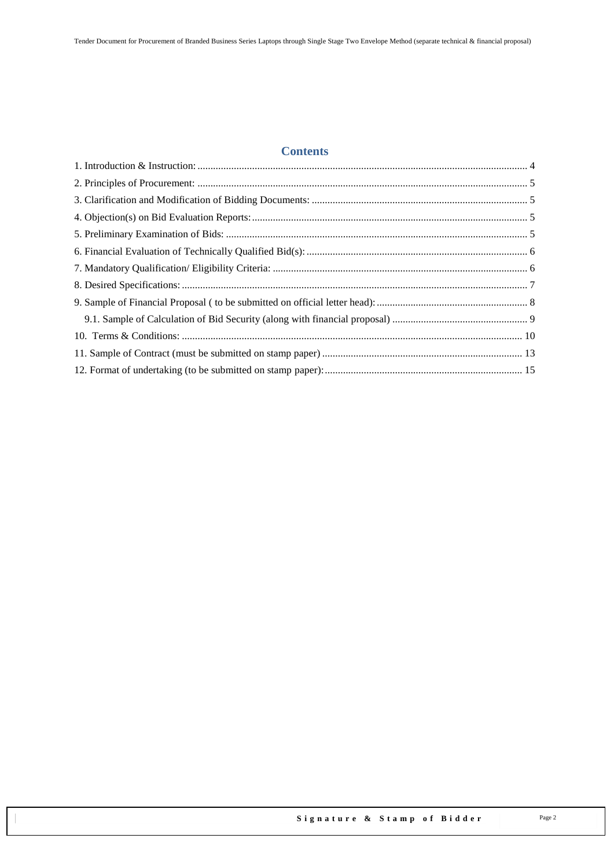#### **Contents**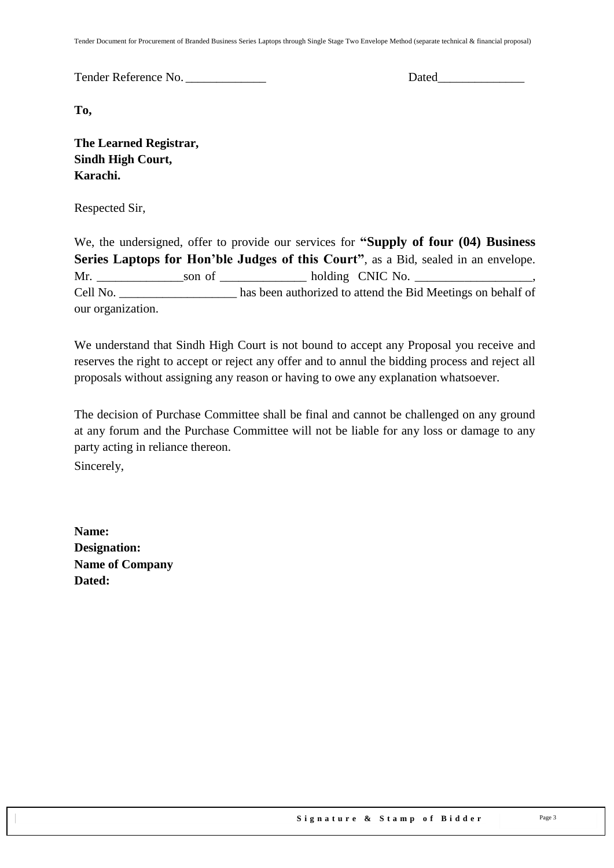Tender Document for Procurement of Branded Business Series Laptops through Single Stage Two Envelope Method (separate technical & financial proposal)

Tender Reference No. \_\_\_\_\_\_\_\_\_\_\_\_\_ Dated\_\_\_\_\_\_\_\_\_\_\_\_\_\_

**To,** 

**The Learned Registrar, Sindh High Court, Karachi.**

Respected Sir,

We, the undersigned, offer to provide our services for **"Supply of four (04) Business Series Laptops for Hon'ble Judges of this Court"**, as a Bid, sealed in an envelope. Mr. Son of and holding CNIC No. Cell No. \_\_\_\_\_\_\_\_\_\_\_\_\_\_\_\_\_\_\_ has been authorized to attend the Bid Meetings on behalf of our organization.

We understand that Sindh High Court is not bound to accept any Proposal you receive and reserves the right to accept or reject any offer and to annul the bidding process and reject all proposals without assigning any reason or having to owe any explanation whatsoever.

The decision of Purchase Committee shall be final and cannot be challenged on any ground at any forum and the Purchase Committee will not be liable for any loss or damage to any party acting in reliance thereon.

Sincerely,

**Name: Designation: Name of Company Dated:**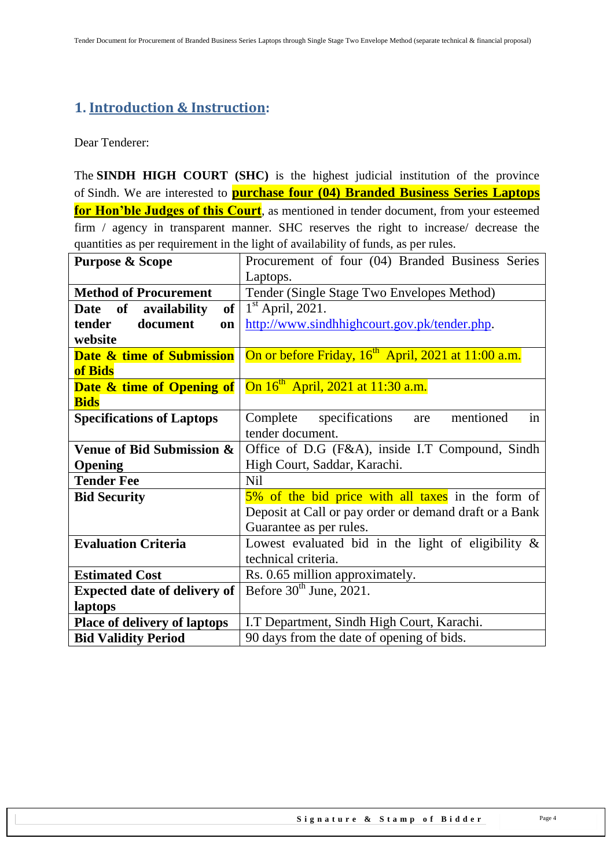## <span id="page-3-0"></span>**1. Introduction & Instruction:**

Dear Tenderer:

The **SINDH HIGH COURT (SHC)** is the highest judicial institution of the province of [Sindh.](https://en.wikipedia.org/wiki/Sindh) We are interested to **purchase four (04) Branded Business Series Laptops for Hon'ble Judges of this Court**, as mentioned in tender document, from your esteemed firm / agency in transparent manner. SHC reserves the right to increase/ decrease the quantities as per requirement in the light of availability of funds, as per rules.

| <b>Purpose &amp; Scope</b>           | Procurement of four (04) Branded Business Series                |  |
|--------------------------------------|-----------------------------------------------------------------|--|
|                                      | Laptops.                                                        |  |
| <b>Method of Procurement</b>         | Tender (Single Stage Two Envelopes Method)                      |  |
| of availability<br>of<br><b>Date</b> | $1st$ April, 2021.                                              |  |
| document<br>tender<br>on             | http://www.sindhhighcourt.gov.pk/tender.php.                    |  |
| website                              |                                                                 |  |
| Date & time of Submission            | On or before Friday, 16 <sup>th</sup> April, 2021 at 11:00 a.m. |  |
| of Bids                              |                                                                 |  |
| <b>Date &amp; time of Opening of</b> | On 16 <sup>th</sup> April, 2021 at 11:30 a.m.                   |  |
| <b>Bids</b>                          |                                                                 |  |
| <b>Specifications of Laptops</b>     | in<br>Complete specifications<br>mentioned<br>are               |  |
|                                      | tender document.                                                |  |
| Venue of Bid Submission &            | Office of D.G (F&A), inside I.T Compound, Sindh                 |  |
| Opening                              | High Court, Saddar, Karachi.                                    |  |
| <b>Tender Fee</b>                    | N <sub>il</sub>                                                 |  |
| <b>Bid Security</b>                  | 5% of the bid price with all taxes in the form of               |  |
|                                      | Deposit at Call or pay order or demand draft or a Bank          |  |
|                                      | Guarantee as per rules.                                         |  |
| <b>Evaluation Criteria</b>           | Lowest evaluated bid in the light of eligibility $\&$           |  |
|                                      | technical criteria.                                             |  |
| <b>Estimated Cost</b>                | Rs. 0.65 million approximately.                                 |  |
| <b>Expected date of delivery of</b>  | Before $30th$ June, 2021.                                       |  |
| laptops                              |                                                                 |  |
| <b>Place of delivery of laptops</b>  | I.T Department, Sindh High Court, Karachi.                      |  |
| <b>Bid Validity Period</b>           | 90 days from the date of opening of bids.                       |  |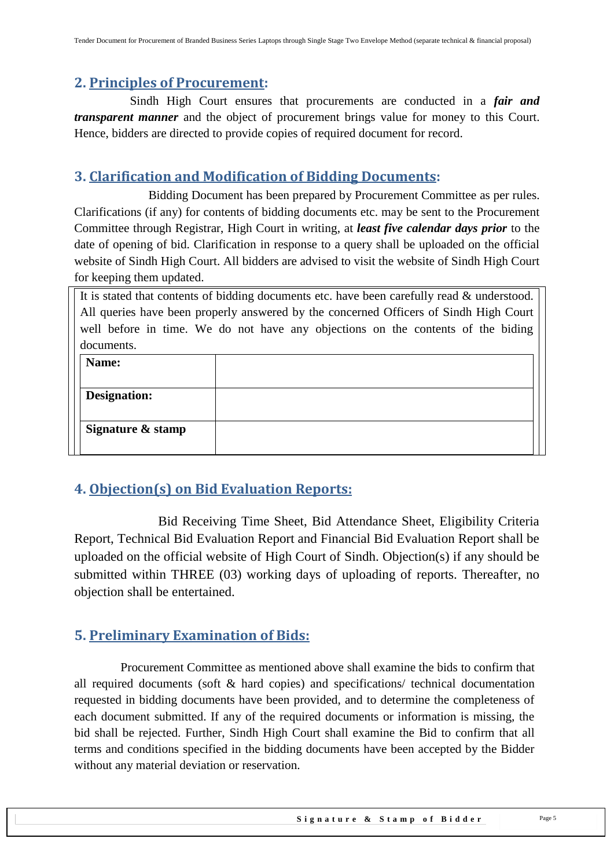### <span id="page-4-0"></span>**2. Principles of Procurement:**

 Sindh High Court ensures that procurements are conducted in a *fair and transparent manner* and the object of procurement brings value for money to this Court. Hence, bidders are directed to provide copies of required document for record.

## <span id="page-4-1"></span>**3. Clarification and Modification of Bidding Documents:**

Bidding Document has been prepared by Procurement Committee as per rules. Clarifications (if any) for contents of bidding documents etc. may be sent to the Procurement Committee through Registrar, High Court in writing, at *least five calendar days prior* to the date of opening of bid. Clarification in response to a query shall be uploaded on the official website of Sindh High Court. All bidders are advised to visit the website of Sindh High Court for keeping them updated.

It is stated that contents of bidding documents etc. have been carefully read & understood. All queries have been properly answered by the concerned Officers of Sindh High Court well before in time. We do not have any objections on the contents of the biding documents.

| Name:               |  |
|---------------------|--|
|                     |  |
| <b>Designation:</b> |  |
|                     |  |
| Signature & stamp   |  |
|                     |  |

## <span id="page-4-2"></span>**4. Objection(s) on Bid Evaluation Reports:**

 Bid Receiving Time Sheet, Bid Attendance Sheet, Eligibility Criteria Report, Technical Bid Evaluation Report and Financial Bid Evaluation Report shall be uploaded on the official website of High Court of Sindh. Objection(s) if any should be submitted within THREE (03) working days of uploading of reports. Thereafter, no objection shall be entertained.

## <span id="page-4-3"></span>**5. Preliminary Examination of Bids:**

 Procurement Committee as mentioned above shall examine the bids to confirm that all required documents (soft & hard copies) and specifications/ technical documentation requested in bidding documents have been provided, and to determine the completeness of each document submitted. If any of the required documents or information is missing, the bid shall be rejected. Further, Sindh High Court shall examine the Bid to confirm that all terms and conditions specified in the bidding documents have been accepted by the Bidder without any material deviation or reservation.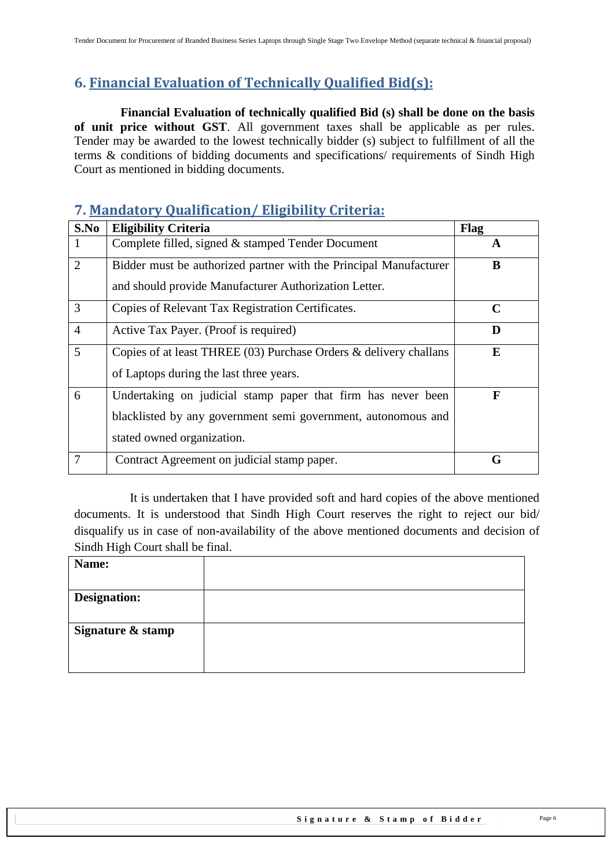# <span id="page-5-0"></span>**6. Financial Evaluation of Technically Qualified Bid(s):**

 **Financial Evaluation of technically qualified Bid (s) shall be done on the basis of unit price without GST**. All government taxes shall be applicable as per rules. Tender may be awarded to the lowest technically bidder (s) subject to fulfillment of all the terms & conditions of bidding documents and specifications/ requirements of Sindh High Court as mentioned in bidding documents.

## <span id="page-5-1"></span>**7. Mandatory Qualification/ Eligibility Criteria:**

| S.No           | <b>Eligibility Criteria</b>                                         | Flag        |
|----------------|---------------------------------------------------------------------|-------------|
|                | Complete filled, signed & stamped Tender Document                   | A           |
| $\overline{2}$ | Bidder must be authorized partner with the Principal Manufacturer   | B           |
|                | and should provide Manufacturer Authorization Letter.               |             |
| 3              | Copies of Relevant Tax Registration Certificates.                   | $\mathbf C$ |
| $\overline{4}$ | Active Tax Payer. (Proof is required)                               | D           |
| 5              | Copies of at least THREE $(03)$ Purchase Orders & delivery challans | E           |
|                | of Laptops during the last three years.                             |             |
| 6              | Undertaking on judicial stamp paper that firm has never been        | F           |
|                | blacklisted by any government semi government, autonomous and       |             |
|                | stated owned organization.                                          |             |
| 7              | Contract Agreement on judicial stamp paper.                         | G           |

 It is undertaken that I have provided soft and hard copies of the above mentioned documents. It is understood that Sindh High Court reserves the right to reject our bid/ disqualify us in case of non-availability of the above mentioned documents and decision of Sindh High Court shall be final.

| Name:               |  |
|---------------------|--|
|                     |  |
| <b>Designation:</b> |  |
|                     |  |
| Signature & stamp   |  |
|                     |  |
|                     |  |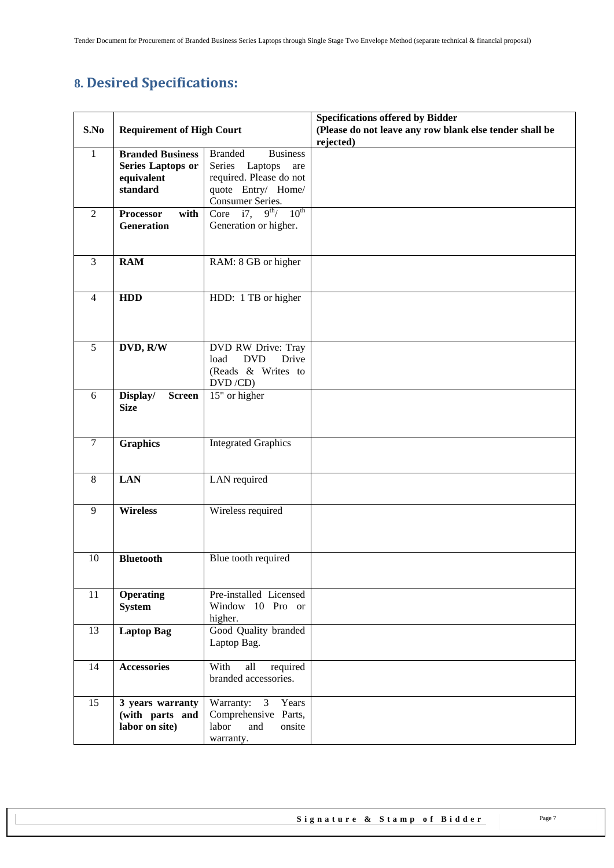# <span id="page-6-0"></span>**8. Desired Specifications:**

|                |                                          |                                           | <b>Specifications offered by Bidder</b>                              |
|----------------|------------------------------------------|-------------------------------------------|----------------------------------------------------------------------|
| S.No           | <b>Requirement of High Court</b>         |                                           | (Please do not leave any row blank else tender shall be<br>rejected) |
| 1              | <b>Branded Business</b>                  | <b>Branded</b><br><b>Business</b>         |                                                                      |
|                | <b>Series Laptops or</b>                 | Series<br>Laptops<br>are                  |                                                                      |
|                | equivalent                               | required. Please do not                   |                                                                      |
|                | standard                                 | quote Entry/ Home/                        |                                                                      |
|                |                                          | Consumer Series.                          |                                                                      |
| $\overline{2}$ | with<br><b>Processor</b>                 | $9^{th}$ / $10^{th}$<br>Core $i7$ ,       |                                                                      |
|                | Generation                               | Generation or higher.                     |                                                                      |
|                |                                          |                                           |                                                                      |
| $\overline{3}$ | <b>RAM</b>                               | RAM: 8 GB or higher                       |                                                                      |
|                |                                          |                                           |                                                                      |
|                |                                          |                                           |                                                                      |
| $\overline{4}$ | <b>HDD</b>                               | HDD: 1 TB or higher                       |                                                                      |
|                |                                          |                                           |                                                                      |
|                |                                          |                                           |                                                                      |
|                |                                          |                                           |                                                                      |
| 5              | DVD, R/W                                 | DVD RW Drive: Tray                        |                                                                      |
|                |                                          | Drive<br>load<br><b>DVD</b>               |                                                                      |
|                |                                          | (Reads & Writes to                        |                                                                      |
|                |                                          | DVD/CD)                                   |                                                                      |
| 6              | Display/<br><b>Screen</b><br><b>Size</b> | 15" or higher                             |                                                                      |
|                |                                          |                                           |                                                                      |
|                |                                          |                                           |                                                                      |
| $\overline{7}$ | <b>Graphics</b>                          | <b>Integrated Graphics</b>                |                                                                      |
|                |                                          |                                           |                                                                      |
|                |                                          |                                           |                                                                      |
| 8              | <b>LAN</b>                               | LAN required                              |                                                                      |
|                |                                          |                                           |                                                                      |
| 9              | <b>Wireless</b>                          | Wireless required                         |                                                                      |
|                |                                          |                                           |                                                                      |
|                |                                          |                                           |                                                                      |
|                |                                          |                                           |                                                                      |
| 10             | <b>Bluetooth</b>                         | Blue tooth required                       |                                                                      |
|                |                                          |                                           |                                                                      |
| 11             | <b>Operating</b>                         | Pre-installed Licensed                    |                                                                      |
|                | <b>System</b>                            | Window 10 Pro or                          |                                                                      |
|                |                                          | higher.                                   |                                                                      |
| 13             | <b>Laptop Bag</b>                        | Good Quality branded                      |                                                                      |
|                |                                          | Laptop Bag.                               |                                                                      |
|                |                                          |                                           |                                                                      |
| 14             | <b>Accessories</b>                       | With<br>all<br>required                   |                                                                      |
|                |                                          | branded accessories.                      |                                                                      |
|                |                                          |                                           |                                                                      |
| 15             | 3 years warranty                         | Warranty: 3 Years<br>Comprehensive Parts, |                                                                      |
|                | (with parts and<br>labor on site)        | labor<br>and<br>onsite                    |                                                                      |
|                |                                          | warranty.                                 |                                                                      |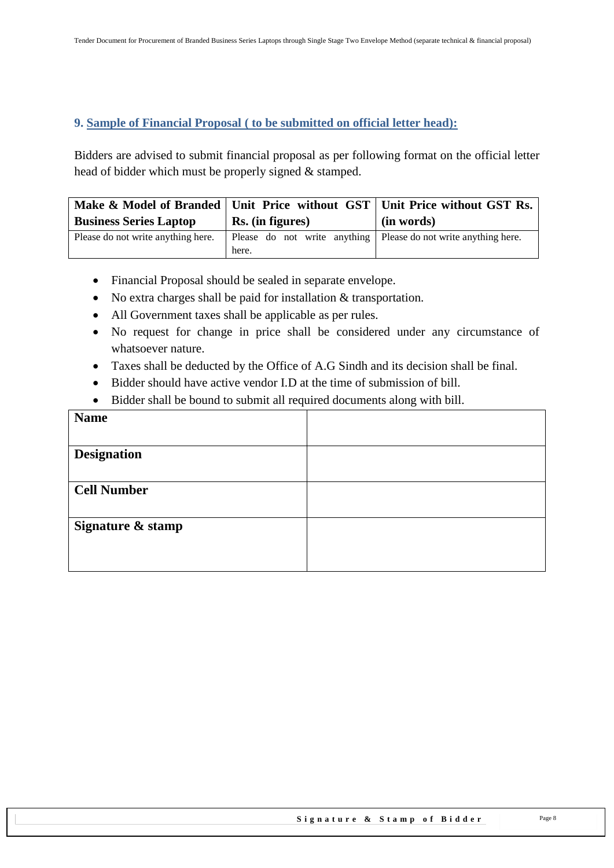#### <span id="page-7-0"></span>**9. Sample of Financial Proposal ( to be submitted on official letter head):**

Bidders are advised to submit financial proposal as per following format on the official letter head of bidder which must be properly signed & stamped.

|                                    |                                                                            | Make & Model of Branded   Unit Price without GST   Unit Price without GST Rs. |
|------------------------------------|----------------------------------------------------------------------------|-------------------------------------------------------------------------------|
| <b>Business Series Laptop</b>      | Rs. (in figures)                                                           | (in words)                                                                    |
| Please do not write anything here. | Please do not write anything   Please do not write anything here.<br>here. |                                                                               |

- Financial Proposal should be sealed in separate envelope.
- No extra charges shall be paid for installation & transportation.
- All Government taxes shall be applicable as per rules.
- No request for change in price shall be considered under any circumstance of whatsoever nature.
- Taxes shall be deducted by the Office of A.G Sindh and its decision shall be final.
- Bidder should have active vendor I.D at the time of submission of bill.
- Bidder shall be bound to submit all required documents along with bill.

| <b>Name</b>        |  |
|--------------------|--|
|                    |  |
| <b>Designation</b> |  |
|                    |  |
| <b>Cell Number</b> |  |
|                    |  |
| Signature & stamp  |  |
|                    |  |
|                    |  |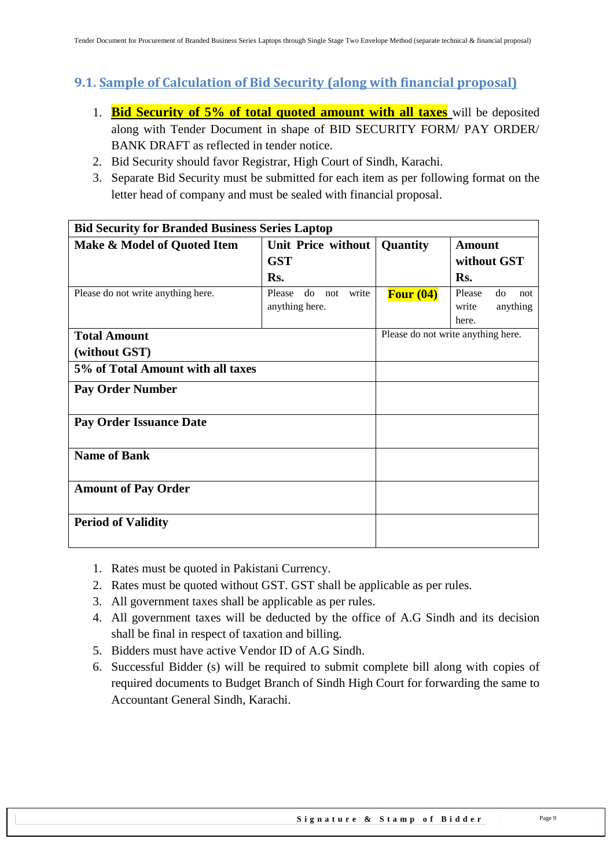## <span id="page-8-0"></span>**9.1. Sample of Calculation of Bid Security (along with financial proposal)**

- 1. **Bid Security of 5% of total quoted amount with all taxes** will be deposited along with Tender Document in shape of BID SECURITY FORM/ PAY ORDER/ BANK DRAFT as reflected in tender notice.
- 2. Bid Security should favor Registrar, High Court of Sindh, Karachi.
- 3. Separate Bid Security must be submitted for each item as per following format on the letter head of company and must be sealed with financial proposal.

| <b>Bid Security for Branded Business Series Laptop</b> |                              |             |                                    |
|--------------------------------------------------------|------------------------------|-------------|------------------------------------|
| Make & Model of Quoted Item                            | Unit Price without           | Quantity    | <b>Amount</b>                      |
|                                                        | <b>GST</b>                   |             | without GST                        |
|                                                        | Rs.                          |             | Rs.                                |
| Please do not write anything here.                     | Please<br>write<br>do<br>not | Four $(04)$ | Please<br>do<br>not                |
|                                                        | anything here.               |             | anything<br>write                  |
|                                                        |                              |             | here.                              |
| <b>Total Amount</b>                                    |                              |             | Please do not write anything here. |
| (without GST)                                          |                              |             |                                    |
| 5% of Total Amount with all taxes                      |                              |             |                                    |
| <b>Pay Order Number</b>                                |                              |             |                                    |
| <b>Pay Order Issuance Date</b>                         |                              |             |                                    |
| <b>Name of Bank</b>                                    |                              |             |                                    |
| <b>Amount of Pay Order</b>                             |                              |             |                                    |
| <b>Period of Validity</b>                              |                              |             |                                    |

- 1. Rates must be quoted in Pakistani Currency.
- 2. Rates must be quoted without GST. GST shall be applicable as per rules.
- 3. All government taxes shall be applicable as per rules.
- 4. All government taxes will be deducted by the office of A.G Sindh and its decision shall be final in respect of taxation and billing.
- 5. Bidders must have active Vendor ID of A.G Sindh.
- 6. Successful Bidder (s) will be required to submit complete bill along with copies of required documents to Budget Branch of Sindh High Court for forwarding the same to Accountant General Sindh, Karachi.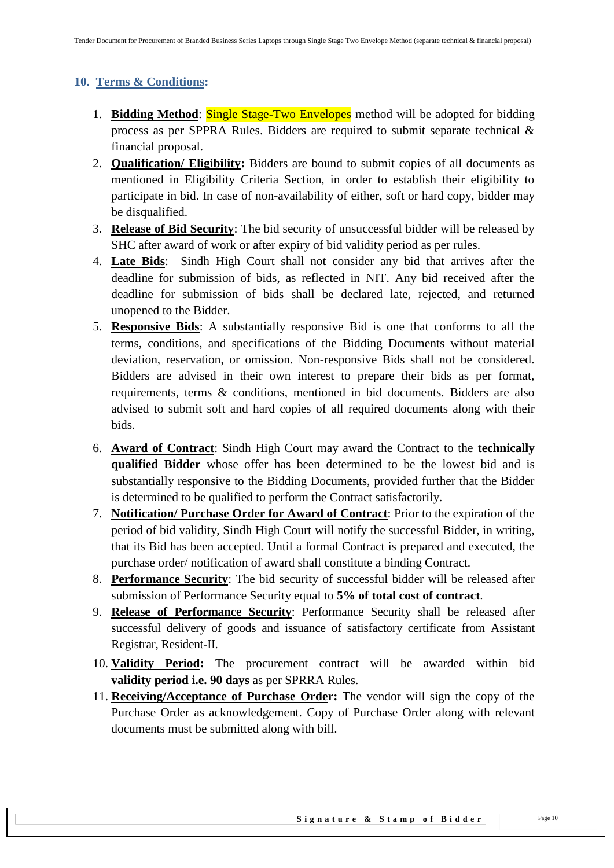#### <span id="page-9-0"></span>**10. Terms & Conditions:**

- 1. **Bidding Method**: Single Stage-Two Envelopes method will be adopted for bidding process as per SPPRA Rules. Bidders are required to submit separate technical & financial proposal.
- 2. **Qualification/ Eligibility:** Bidders are bound to submit copies of all documents as mentioned in Eligibility Criteria Section, in order to establish their eligibility to participate in bid. In case of non-availability of either, soft or hard copy, bidder may be disqualified.
- 3. **Release of Bid Security**: The bid security of unsuccessful bidder will be released by SHC after award of work or after expiry of bid validity period as per rules.
- 4. **Late Bids**: Sindh High Court shall not consider any bid that arrives after the deadline for submission of bids, as reflected in NIT. Any bid received after the deadline for submission of bids shall be declared late, rejected, and returned unopened to the Bidder.
- 5. **Responsive Bids**: A substantially responsive Bid is one that conforms to all the terms, conditions, and specifications of the Bidding Documents without material deviation, reservation, or omission. Non-responsive Bids shall not be considered. Bidders are advised in their own interest to prepare their bids as per format, requirements, terms & conditions, mentioned in bid documents. Bidders are also advised to submit soft and hard copies of all required documents along with their bids.
- 6. **Award of Contract**: Sindh High Court may award the Contract to the **technically qualified Bidder** whose offer has been determined to be the lowest bid and is substantially responsive to the Bidding Documents, provided further that the Bidder is determined to be qualified to perform the Contract satisfactorily.
- 7. **Notification/ Purchase Order for Award of Contract**: Prior to the expiration of the period of bid validity, Sindh High Court will notify the successful Bidder, in writing, that its Bid has been accepted. Until a formal Contract is prepared and executed, the purchase order/ notification of award shall constitute a binding Contract.
- 8. **Performance Security**: The bid security of successful bidder will be released after submission of Performance Security equal to **5% of total cost of contract**.
- 9. **Release of Performance Security**: Performance Security shall be released after successful delivery of goods and issuance of satisfactory certificate from Assistant Registrar, Resident-II.
- 10. **Validity Period:** The procurement contract will be awarded within bid **validity period i.e. 90 days** as per SPRRA Rules.
- 11. **Receiving/Acceptance of Purchase Order:** The vendor will sign the copy of the Purchase Order as acknowledgement. Copy of Purchase Order along with relevant documents must be submitted along with bill.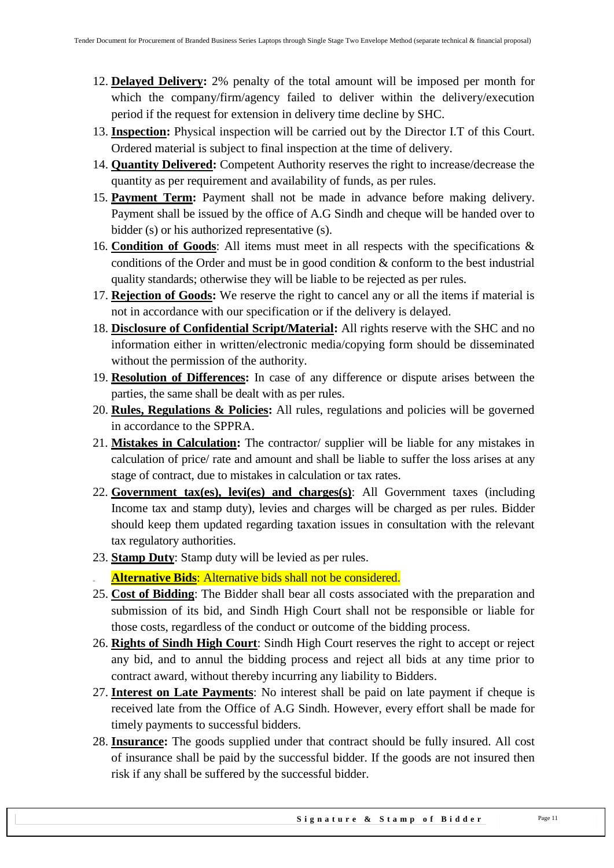- 12. **Delayed Delivery:** 2% penalty of the total amount will be imposed per month for which the company/firm/agency failed to deliver within the delivery/execution period if the request for extension in delivery time decline by SHC.
- 13. **Inspection:** Physical inspection will be carried out by the Director I.T of this Court. Ordered material is subject to final inspection at the time of delivery.
- 14. **Quantity Delivered:** Competent Authority reserves the right to increase/decrease the quantity as per requirement and availability of funds, as per rules.
- 15. **Payment Term:** Payment shall not be made in advance before making delivery. Payment shall be issued by the office of A.G Sindh and cheque will be handed over to bidder (s) or his authorized representative (s).
- 16. **Condition of Goods**: All items must meet in all respects with the specifications & conditions of the Order and must be in good condition & conform to the best industrial quality standards; otherwise they will be liable to be rejected as per rules.
- 17. **Rejection of Goods:** We reserve the right to cancel any or all the items if material is not in accordance with our specification or if the delivery is delayed.
- 18. **Disclosure of Confidential Script/Material:** All rights reserve with the SHC and no information either in written/electronic media/copying form should be disseminated without the permission of the authority.
- 19. **Resolution of Differences:** In case of any difference or dispute arises between the parties, the same shall be dealt with as per rules.
- 20. **Rules, Regulations & Policies:** All rules, regulations and policies will be governed in accordance to the SPPRA.
- 21. **Mistakes in Calculation:** The contractor/ supplier will be liable for any mistakes in calculation of price/ rate and amount and shall be liable to suffer the loss arises at any stage of contract, due to mistakes in calculation or tax rates.
- 22. **Government tax(es), levi(es) and charges(s)**: All Government taxes (including Income tax and stamp duty), levies and charges will be charged as per rules. Bidder should keep them updated regarding taxation issues in consultation with the relevant tax regulatory authorities.
- 23. **Stamp Duty**: Stamp duty will be levied as per rules.
	- Alternative Bids: Alternative bids shall not be considered.
- 25. **Cost of Bidding**: The Bidder shall bear all costs associated with the preparation and submission of its bid, and Sindh High Court shall not be responsible or liable for those costs, regardless of the conduct or outcome of the bidding process.
- 26. **Rights of Sindh High Court**: Sindh High Court reserves the right to accept or reject any bid, and to annul the bidding process and reject all bids at any time prior to contract award, without thereby incurring any liability to Bidders.
- 27. **Interest on Late Payments**: No interest shall be paid on late payment if cheque is received late from the Office of A.G Sindh. However, every effort shall be made for timely payments to successful bidders.
- 28. **Insurance:** The goods supplied under that contract should be fully insured. All cost of insurance shall be paid by the successful bidder. If the goods are not insured then risk if any shall be suffered by the successful bidder.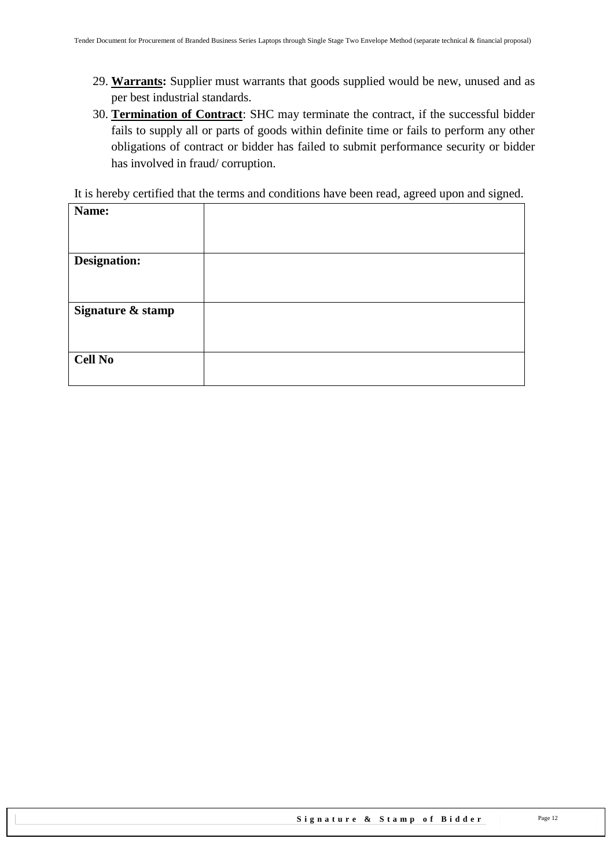- 29. **Warrants:** Supplier must warrants that goods supplied would be new, unused and as per best industrial standards.
- 30. **Termination of Contract**: SHC may terminate the contract, if the successful bidder fails to supply all or parts of goods within definite time or fails to perform any other obligations of contract or bidder has failed to submit performance security or bidder has involved in fraud/ corruption.

It is hereby certified that the terms and conditions have been read, agreed upon and signed.

| Name:             |  |
|-------------------|--|
|                   |  |
|                   |  |
|                   |  |
| Designation:      |  |
|                   |  |
|                   |  |
|                   |  |
| Signature & stamp |  |
|                   |  |
|                   |  |
|                   |  |
| <b>Cell No</b>    |  |
|                   |  |
|                   |  |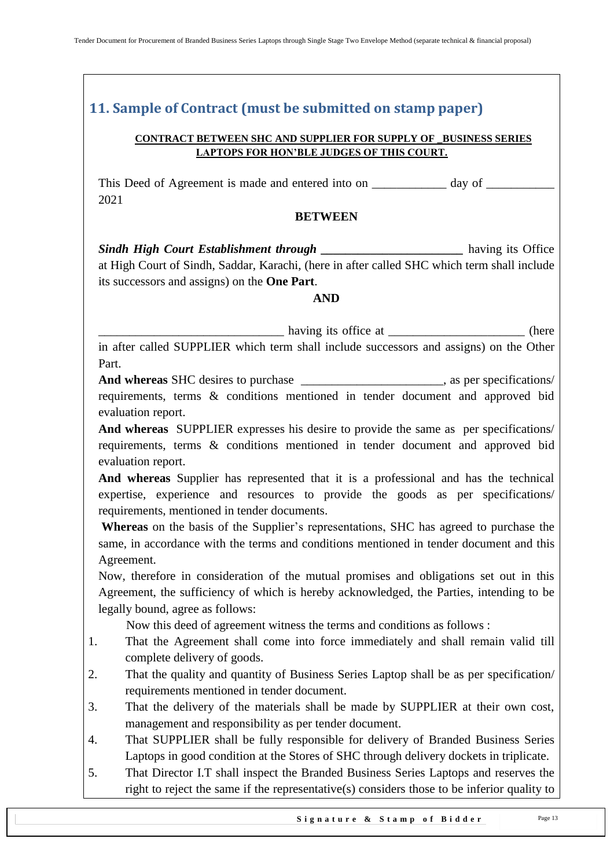## <span id="page-12-0"></span>**11. Sample of Contract (must be submitted on stamp paper)**

#### **CONTRACT BETWEEN SHC AND SUPPLIER FOR SUPPLY OF \_BUSINESS SERIES LAPTOPS FOR HON'BLE JUDGES OF THIS COURT.**

This Deed of Agreement is made and entered into on \_\_\_\_\_\_\_\_\_\_\_\_\_ day of \_\_\_\_\_\_\_\_\_ 2021

#### **BETWEEN**

*Sindh High Court Establishment through \_\_\_\_\_\_\_\_\_\_\_\_\_\_\_\_\_\_\_\_\_\_\_* having its Office at High Court of Sindh, Saddar, Karachi, (here in after called SHC which term shall include its successors and assigns) on the **One Part**.

#### **AND**

\_\_\_\_\_\_\_\_\_\_\_\_\_\_\_\_\_\_\_\_\_\_\_\_\_\_\_\_\_\_ having its office at \_\_\_\_\_\_\_\_\_\_\_\_\_\_\_\_\_\_\_\_\_\_ (here

in after called SUPPLIER which term shall include successors and assigns) on the Other Part.

**And whereas** SHC desires to purchase \_\_\_\_\_\_\_\_\_\_\_\_\_\_\_\_\_\_\_\_\_\_\_, as per specifications/ requirements, terms & conditions mentioned in tender document and approved bid evaluation report.

**And whereas** SUPPLIER expresses his desire to provide the same as per specifications/ requirements, terms & conditions mentioned in tender document and approved bid evaluation report.

**And whereas** Supplier has represented that it is a professional and has the technical expertise, experience and resources to provide the goods as per specifications/ requirements, mentioned in tender documents.

**Whereas** on the basis of the Supplier's representations, SHC has agreed to purchase the same, in accordance with the terms and conditions mentioned in tender document and this Agreement.

Now, therefore in consideration of the mutual promises and obligations set out in this Agreement, the sufficiency of which is hereby acknowledged, the Parties, intending to be legally bound, agree as follows:

Now this deed of agreement witness the terms and conditions as follows :

- 1. That the Agreement shall come into force immediately and shall remain valid till complete delivery of goods.
- 2. That the quality and quantity of Business Series Laptop shall be as per specification/ requirements mentioned in tender document.
- 3. That the delivery of the materials shall be made by SUPPLIER at their own cost, management and responsibility as per tender document.
- 4. That SUPPLIER shall be fully responsible for delivery of Branded Business Series Laptops in good condition at the Stores of SHC through delivery dockets in triplicate.
- 5. That Director I.T shall inspect the Branded Business Series Laptops and reserves the right to reject the same if the representative(s) considers those to be inferior quality to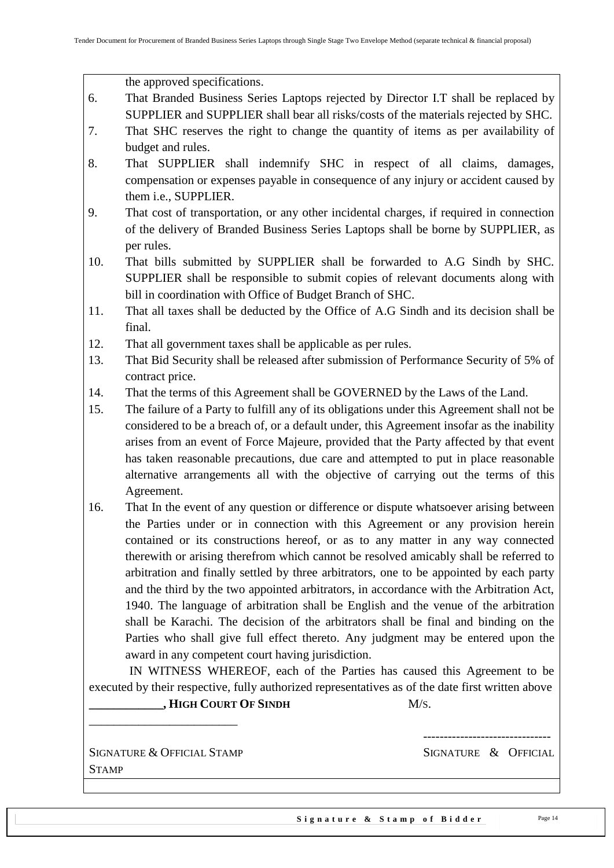the approved specifications.

- 6. That Branded Business Series Laptops rejected by Director I.T shall be replaced by SUPPLIER and SUPPLIER shall bear all risks/costs of the materials rejected by SHC.
- 7. That SHC reserves the right to change the quantity of items as per availability of budget and rules.
- 8. That SUPPLIER shall indemnify SHC in respect of all claims, damages, compensation or expenses payable in consequence of any injury or accident caused by them i.e., SUPPLIER.
- 9. That cost of transportation, or any other incidental charges, if required in connection of the delivery of Branded Business Series Laptops shall be borne by SUPPLIER, as per rules.
- 10. That bills submitted by SUPPLIER shall be forwarded to A.G Sindh by SHC. SUPPLIER shall be responsible to submit copies of relevant documents along with bill in coordination with Office of Budget Branch of SHC.
- 11. That all taxes shall be deducted by the Office of A.G Sindh and its decision shall be final.
- 12. That all government taxes shall be applicable as per rules.
- 13. That Bid Security shall be released after submission of Performance Security of 5% of contract price.
- 14. That the terms of this Agreement shall be GOVERNED by the Laws of the Land.
- 15. The failure of a Party to fulfill any of its obligations under this Agreement shall not be considered to be a breach of, or a default under, this Agreement insofar as the inability arises from an event of Force Majeure, provided that the Party affected by that event has taken reasonable precautions, due care and attempted to put in place reasonable alternative arrangements all with the objective of carrying out the terms of this Agreement.
- 16. That In the event of any question or difference or dispute whatsoever arising between the Parties under or in connection with this Agreement or any provision herein contained or its constructions hereof, or as to any matter in any way connected therewith or arising therefrom which cannot be resolved amicably shall be referred to arbitration and finally settled by three arbitrators, one to be appointed by each party and the third by the two appointed arbitrators, in accordance with the Arbitration Act, 1940. The language of arbitration shall be English and the venue of the arbitration shall be Karachi. The decision of the arbitrators shall be final and binding on the Parties who shall give full effect thereto. Any judgment may be entered upon the award in any competent court having jurisdiction.

 IN WITNESS WHEREOF, each of the Parties has caused this Agreement to be executed by their respective, fully authorized representatives as of the date first written above **\_\_\_\_\_\_\_\_\_\_\_\_, HIGH COURT OF SINDH** M/S.

SIGNATURE & OFFICIAL STAMP SIGNATURE & OFFICIAL **STAMP** 

\_\_\_\_\_\_\_\_\_\_\_\_\_\_\_\_\_\_\_\_\_\_\_\_

-------------------------------